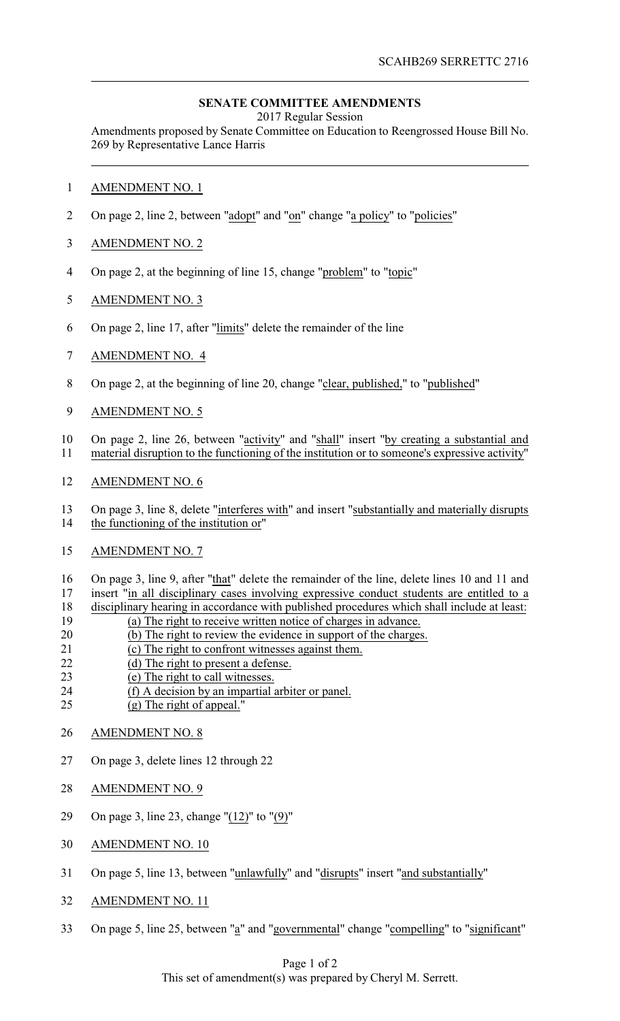## **SENATE COMMITTEE AMENDMENTS**

2017 Regular Session

Amendments proposed by Senate Committee on Education to Reengrossed House Bill No. 269 by Representative Lance Harris

- 1 AMENDMENT NO. 1
- 2 On page 2, line 2, between "adopt" and "on" change "a policy" to "policies"
- 3 AMENDMENT NO. 2
- 4 On page 2, at the beginning of line 15, change "problem" to "topic"
- 5 AMENDMENT NO. 3
- 6 On page 2, line 17, after "limits" delete the remainder of the line
- 7 AMENDMENT NO. 4
- 8 On page 2, at the beginning of line 20, change "clear, published," to "published"
- 9 AMENDMENT NO. 5
- 10 On page 2, line 26, between "activity" and "shall" insert "by creating a substantial and 11 material disruption to the functioning of the institution or to someone's expressive activity"
- 12 AMENDMENT NO. 6
- 13 On page 3, line 8, delete "interferes with" and insert "substantially and materially disrupts the functioning of the institution or" the functioning of the institution or"
- 15 AMENDMENT NO. 7
- 16 On page 3, line 9, after "that" delete the remainder of the line, delete lines 10 and 11 and 17 insert "in all disciplinary cases involving expressive conduct students are entitled to a
- 18 disciplinary hearing in accordance with published procedures which shall include at least:<br>19 (a) The right to receive written notice of charges in advance.
- 19 (a) The right to receive written notice of charges in advance.<br>20 (b) The right to review the evidence in support of the charges
- (b) The right to review the evidence in support of the charges.
- 21 (c) The right to confront witnesses against them.
- 22 (d) The right to present a defense.
- 23 (e) The right to call witnesses.
- 24 (f) A decision by an impartial arbiter or panel.
- 25 (g) The right of appeal."
- 26 AMENDMENT NO. 8
- 27 On page 3, delete lines 12 through 22
- 28 AMENDMENT NO. 9
- 29 On page 3, line 23, change "(12)" to "(9)"
- 30 AMENDMENT NO. 10
- 31 On page 5, line 13, between "unlawfully" and "disrupts" insert "and substantially"
- 32 AMENDMENT NO. 11
- 33 On page 5, line 25, between "a" and "governmental" change "compelling" to "significant"